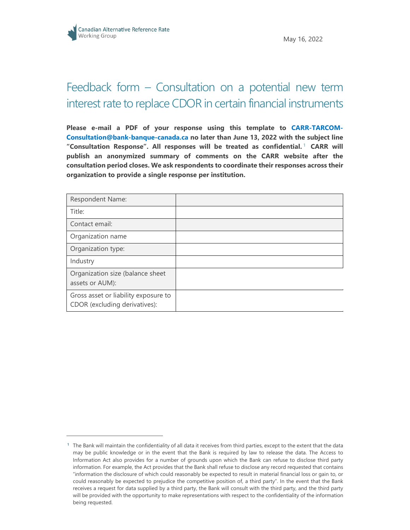## Feedback form – Consultation on a potential new term interest rate to replace CDOR in certain financial instruments

**Please e-mail a PDF of your response using this template to [CARR-TARCOM-](mailto:CARR-TARCOM-Consultation@bank-banque-canada.ca)[Consultation@bank-banque-canada.ca](mailto:CARR-TARCOM-Consultation@bank-banque-canada.ca) no later than June 13, 2022 with the subject line "Consultation Response". All responses will be treated as confidential.** [1](#page-0-0) **CARR will publish an anonymized summary of comments on the CARR website after the consultation period closes. We ask respondents to coordinate their responses across their organization to provide a single response per institution.**

| Respondent Name:                                                      |  |
|-----------------------------------------------------------------------|--|
| Title:                                                                |  |
| Contact email:                                                        |  |
| Organization name                                                     |  |
| Organization type:                                                    |  |
| Industry                                                              |  |
| Organization size (balance sheet<br>assets or AUM):                   |  |
| Gross asset or liability exposure to<br>CDOR (excluding derivatives): |  |

<span id="page-0-0"></span>**<sup>1</sup>** The Bank will maintain the confidentiality of all data it receives from third parties, except to the extent that the data may be public knowledge or in the event that the Bank is required by law to release the data. The Access to Information Act also provides for a number of grounds upon which the Bank can refuse to disclose third party information. For example, the Act provides that the Bank shall refuse to disclose any record requested that contains "information the disclosure of which could reasonably be expected to result in material financial loss or gain to, or could reasonably be expected to prejudice the competitive position of, a third party". In the event that the Bank receives a request for data supplied by a third party, the Bank will consult with the third party, and the third party will be provided with the opportunity to make representations with respect to the confidentiality of the information being requested.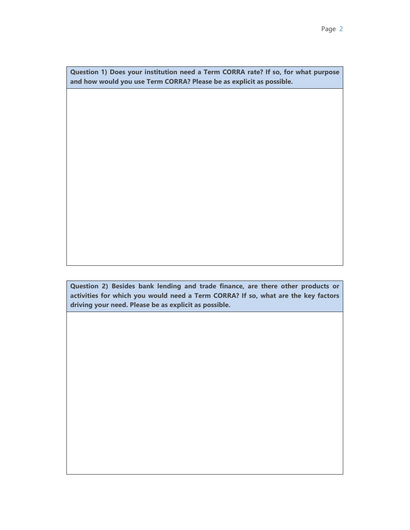**Question 1) Does your institution need a Term CORRA rate? If so, for what purpose and how would you use Term CORRA? Please be as explicit as possible.**

**Question 2) Besides bank lending and trade finance, are there other products or activities for which you would need a Term CORRA? If so, what are the key factors driving your need. Please be as explicit as possible.**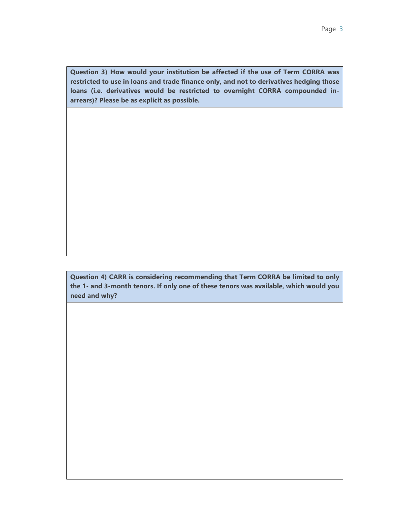**Question 3) How would your institution be affected if the use of Term CORRA was restricted to use in loans and trade finance only, and not to derivatives hedging those loans (i.e. derivatives would be restricted to overnight CORRA compounded inarrears)? Please be as explicit as possible.**

**Question 4) CARR is considering recommending that Term CORRA be limited to only the 1- and 3-month tenors. If only one of these tenors was available, which would you need and why?**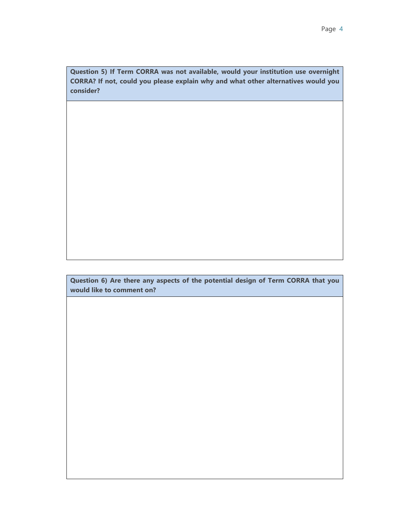**Question 5) If Term CORRA was not available, would your institution use overnight CORRA? If not, could you please explain why and what other alternatives would you consider?**

**Question 6) Are there any aspects of the potential design of Term CORRA that you would like to comment on?**